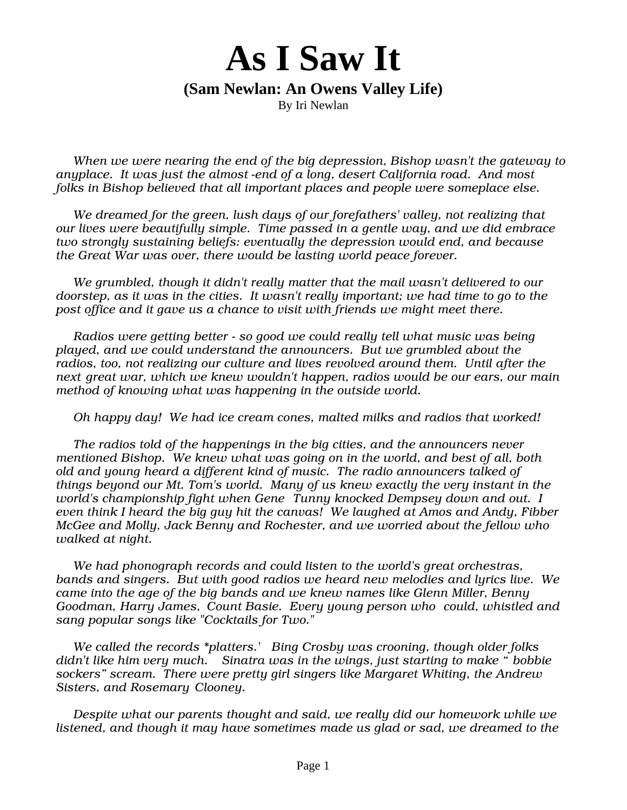## **As I Saw It**

## **(Sam Newlan: An Owens Valley Life)**

By Iri Newlan

When we were nearing the end of the big depression, Bishop wasn't the gateway to anyplace. It was just the almost -end of a long, desert California road. And most folks in Bishop believed that all important places and people were someplace else.

We dreamed for the green, lush days of our forefathers' valley, not realizing that our lives were beautifully simple. Time passed in a gentle way, and we did embrace two strongly sustaining beliefs: eventually the depression would end, and because the Great War was over, there would be lasting world peace forever.

We grumbled, though it didn't really matter that the mail wasn't delivered to our doorstep, as it was in the cities. It wasn't really important; we had time to go to the post office and it gave us a chance to visit with friends we might meet there.

Radios were getting better - so good we could really tell what music was being played, and we could understand the announcers. But we grumbled about the radios, too, not realizing our culture and lives revolved around them. Until after the next great war, which we knew wouldn't happen, radios would be our ears, our main method of knowing what was happening in the outside world.

Oh happy day! We had ice cream cones, malted milks and radios that worked!

The radios told of the happenings in the big cities, and the announcers never mentioned Bishop. We knew what was going on in the world, and best of all, both old and young heard a different kind of music. The radio announcers talked of things beyond our Mt. Tom's world. Many of us knew exactly the very instant in the world's championship fight when Gene Tunny knocked Dempsey down and out. I even think I heard the big guy hit the canvas! We laughed at Amos and Andy, Fibber McGee and Molly, Jack Benny and Rochester, and we worried about the fellow who walked at night.

We had phonograph records and could listen to the world's great orchestras, bands and singers. But with good radios we heard new melodies and lyrics live. We came into the age of the big bands and we knew names like Glenn Miller, Benny Goodman, Harry James, Count Basie. Every young person who could, whistled and sang popular songs like "Cocktails for Two."

We called the records \*platters.' Bing Crosby was crooning, though older folks didn't like him very much. Sinatra was in the wings, just starting to make " bobbie sockers" scream. There were pretty girl singers like Margaret Whiting, the Andrew Sisters, and Rosemary Clooney.

Despite what our parents thought and said, we really did our homework while we listened, and though it may have sometimes made us glad or sad, we dreamed to the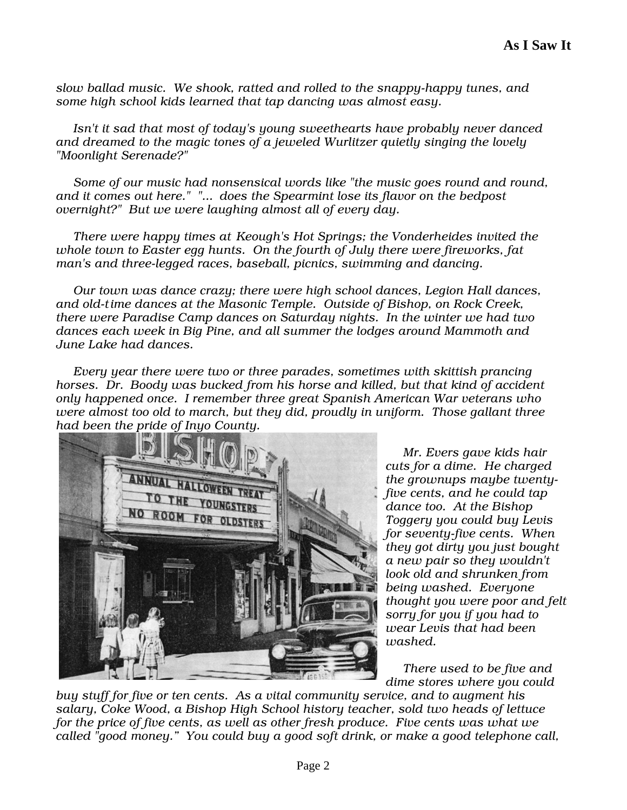slow ballad music. We shook, ratted and rolled to the snappy-happy tunes, and some high school kids learned that tap dancing was almost easy.

Isn't it sad that most of today's young sweethearts have probably never danced and dreamed to the magic tones of a jeweled Wurlitzer quietly singing the lovely "Moonlight Serenade?"

Some of our music had nonsensical words like "the music goes round and round, and it comes out here." "... does the Spearmint lose its flavor on the bedpost overnight?" But we were laughing almost all of every day.

There were happy times at Keough's Hot Springs; the Vonderheides invited the whole town to Easter egg hunts. On the fourth of July there were fireworks, fat man's and three-legged races, baseball, picnics, swimming and dancing.

Our town was dance crazy; there were high school dances, Legion Hall dances, and old-time dances at the Masonic Temple. Outside of Bishop, on Rock Creek, there were Paradise Camp dances on Saturday nights. In the winter we had two dances each week in Big Pine, and all summer the lodges around Mammoth and June Lake had dances.

Every year there were two or three parades, sometimes with skittish prancing horses. Dr. Boody was bucked from his horse and killed, but that kind of accident only happened once. I remember three great Spanish American War veterans who were almost too old to march, but they did, proudly in uniform. Those gallant three had been the pride of Inyo County.



Mr. Evers gave kids hair cuts for a dime. He charged the grownups maybe twentyfive cents, and he could tap dance too. At the Bishop Toggery you could buy Levis for seventy-five cents. When they got dirty you just bought a new pair so they wouldn't look old and shrunken from being washed. Everyone thought you were poor and felt sorry for you if you had to wear Levis that had been washed.

There used to be five and dime stores where you could

buy stuff for five or ten cents. As a vital community service, and to augment his salary, Coke Wood, a Bishop High School history teacher, sold two heads of lettuce for the price of five cents, as well as other fresh produce. Five cents was what we called "good money." You could buy a good soft drink, or make a good telephone call,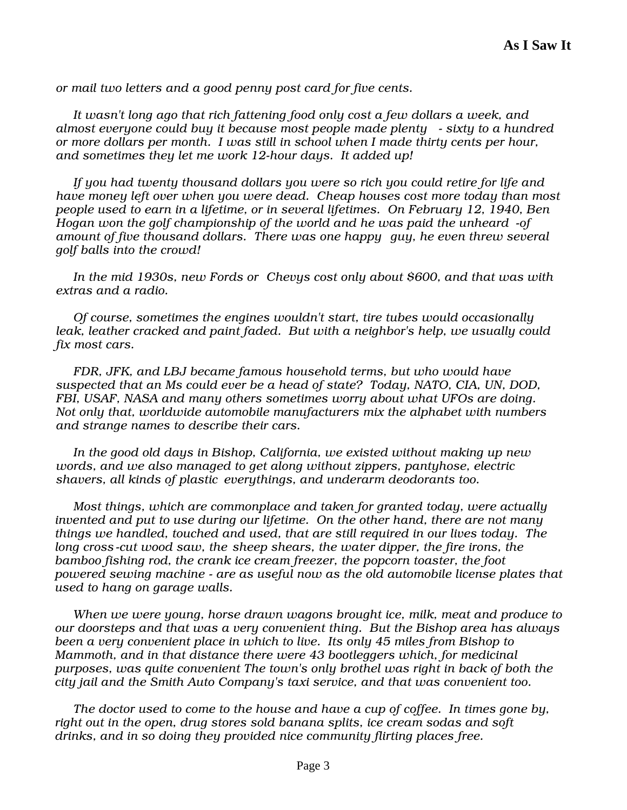or mail two letters and a good penny post card for five cents.

It wasn't long ago that rich fattening food only cost a few dollars a week, and almost everyone could buy it because most people made plenty - sixty to a hundred or more dollars per month. I was still in school when I made thirty cents per hour, and sometimes they let me work 12-hour days. It added up!

If you had twenty thousand dollars you were so rich you could retire for life and have money left over when you were dead. Cheap houses cost more today than most people used to earn in a lifetime, or in several lifetimes. On February 12, 1940, Ben Hogan won the golf championship of the world and he was paid the unheard -of amount of five thousand dollars. There was one happy guy, he even threw several golf balls into the crowd!

In the mid 1930s, new Fords or Chevys cost only about \$600, and that was with extras and a radio.

Of course, sometimes the engines wouldn't start, tire tubes would occasionally leak, leather cracked and paint faded. But with a neighbor's help, we usually could fix most cars.

FDR, JFK, and LBJ became famous household terms, but who would have suspected that an Ms could ever be a head of state? Today, NATO, CIA, UN, DOD, FBI, USAF, NASA and many others sometimes worry about what UFOs are doing. Not only that, worldwide automobile manufacturers mix the alphabet with numbers and strange names to describe their cars.

In the good old days in Bishop, California, we existed without making up new words, and we also managed to get along without zippers, pantyhose, electric shavers, all kinds of plastic everythings, and underarm deodorants too.

Most things, which are commonplace and taken for granted today, were actually invented and put to use during our lifetime. On the other hand, there are not many things we handled, touched and used, that are still required in our lives today. The long cross-cut wood saw, the sheep shears, the water dipper, the fire irons, the bamboo fishing rod, the crank ice cream freezer, the popcorn toaster, the foot powered sewing machine - are as useful now as the old automobile license plates that used to hang on garage walls.

When we were young, horse drawn wagons brought ice, milk, meat and produce to our doorsteps and that was a very convenient thing. But the Bishop area has always been a very convenient place in which to live. Its only 45 miles from Bishop to Mammoth, and in that distance there were 43 bootleggers which, for medicinal purposes, was quite convenient The town's only brothel was right in back of both the city jail and the Smith Auto Company's taxi service, and that was convenient too.

The doctor used to come to the house and have a cup of coffee. In times gone by, right out in the open, drug stores sold banana splits, ice cream sodas and soft drinks, and in so doing they provided nice community flirting places free.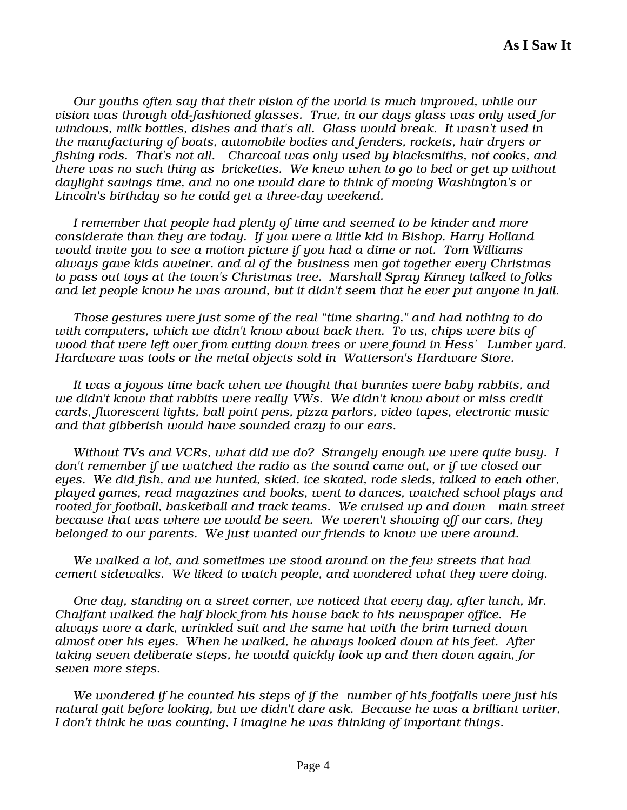Our youths often say that their vision of the world is much improved, while our vision was through old-fashioned glasses. True, in our days glass was only used for windows, milk bottles, dishes and that's all. Glass would break. It wasn't used in the manufacturing of boats, automobile bodies and fenders, rockets, hair dryers or fishing rods. That's not all. Charcoal was only used by blacksmiths, not cooks, and there was no such thing as brickettes. We knew when to go to bed or get up without daylight savings time, and no one would dare to think of moving Washington's or Lincoln's birthday so he could get a three-day weekend.

I remember that people had plenty of time and seemed to be kinder and more considerate than they are today. If you were a little kid in Bishop, Harry Holland would invite you to see a motion picture if you had a dime or not. Tom Williams always gave kids aweiner, and al of the business men got together every Christmas to pass out toys at the town's Christmas tree. Marshall Spray Kinney talked to folks and let people know he was around, but it didn't seem that he ever put anyone in jail.

Those gestures were just some of the real "time sharing," and had nothing to do with computers, which we didn't know about back then. To us, chips were bits of wood that were left over from cutting down trees or were found in Hess' Lumber yard. Hardware was tools or the metal objects sold in Watterson's Hardware Store.

It was a joyous time back when we thought that bunnies were baby rabbits, and we didn't know that rabbits were really VWs. We didn't know about or miss credit cards, fluorescent lights, ball point pens, pizza parlors, video tapes, electronic music and that gibberish would have sounded crazy to our ears.

Without TVs and VCRs, what did we do? Strangely enough we were quite busy. I don't remember if we watched the radio as the sound came out, or if we closed our eyes. We did fish, and we hunted, skied, ice skated, rode sleds, talked to each other, played games, read magazines and books, went to dances, watched school plays and rooted for football, basketball and track teams. We cruised up and down main street because that was where we would be seen. We weren't showing off our cars, they belonged to our parents. We just wanted our friends to know we were around.

We walked a lot, and sometimes we stood around on the few streets that had cement sidewalks. We liked to watch people, and wondered what they were doing.

One day, standing on a street corner, we noticed that every day, after lunch, Mr. Chalfant walked the half block from his house back to his newspaper office. He always wore a dark, wrinkled suit and the same hat with the brim turned down almost over his eyes. When he walked, he always looked down at his feet. After taking seven deliberate steps, he would quickly look up and then down again, for seven more steps.

We wondered if he counted his steps of if the number of his footfalls were just his natural gait before looking, but we didn't dare ask. Because he was a brilliant writer, I don't think he was counting, I imagine he was thinking of important things.